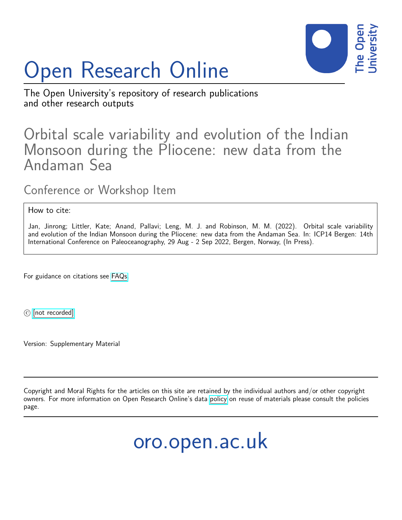

# Open Research Online

The Open University's repository of research publications and other research outputs

## Orbital scale variability and evolution of the Indian Monsoon during the Pliocene: new data from the Andaman Sea

Conference or Workshop Item

How to cite:

Jan, Jinrong; Littler, Kate; Anand, Pallavi; Leng, M. J. and Robinson, M. M. (2022). Orbital scale variability and evolution of the Indian Monsoon during the Pliocene: new data from the Andaman Sea. In: ICP14 Bergen: 14th International Conference on Paleoceanography, 29 Aug - 2 Sep 2022, Bergen, Norway, (In Press).

For guidance on citations see [FAQs.](http://oro.open.ac.uk/help/helpfaq.html)

 $(c)$  [\[not recorded\]](http://oro.open.ac.uk/help/helpfaq.html#Unrecorded_information_on_coversheet)

Version: Supplementary Material

Copyright and Moral Rights for the articles on this site are retained by the individual authors and/or other copyright owners. For more information on Open Research Online's data [policy](http://oro.open.ac.uk/policies.html) on reuse of materials please consult the policies page.

oro.open.ac.uk